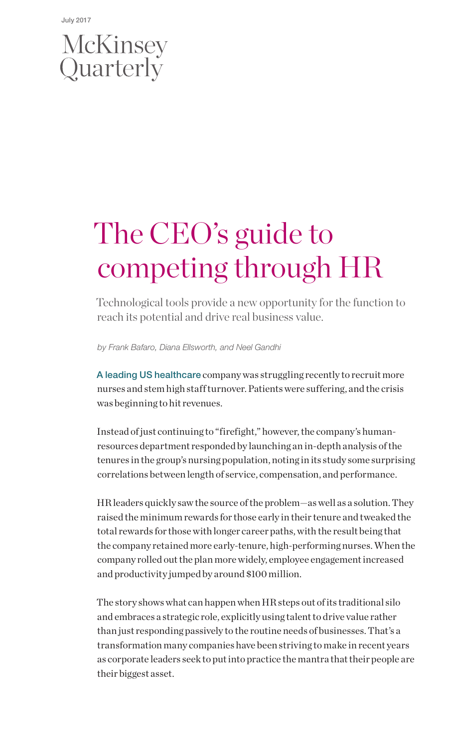# McKinsey<br>Quarterly

## The CEO's guide to competing through HR

Technological tools provide a new opportunity for the function to reach its potential and drive real business value.

*by Frank Bafaro, Diana Ellsworth, and Neel Gandhi*

A leading US healthcare company was struggling recently to recruit more nurses and stem high staff turnover. Patients were suffering, and the crisis was beginning to hit revenues.

Instead of just continuing to "firefight," however, the company's humanresources department responded by launching an in-depth analysis of the tenures in the group's nursing population, noting in its study some surprising correlations between length of service, compensation, and performance.

HR leaders quickly saw the source of the problem—as well as a solution. They raised the minimum rewards for those early in their tenure and tweaked the total rewards for those with longer career paths, with the result being that the company retained more early-tenure, high-performing nurses. When the company rolled out the plan more widely, employee engagement increased and productivity jumped by around \$100 million.

The story shows what can happen when HR steps out of its traditional silo and embraces a strategic role, explicitly using talent to drive value rather than just responding passively to the routine needs of businesses. That's a transformation many companies have been striving to make in recent years as corporate leaders seek to put into practice the mantra that their people are their biggest asset.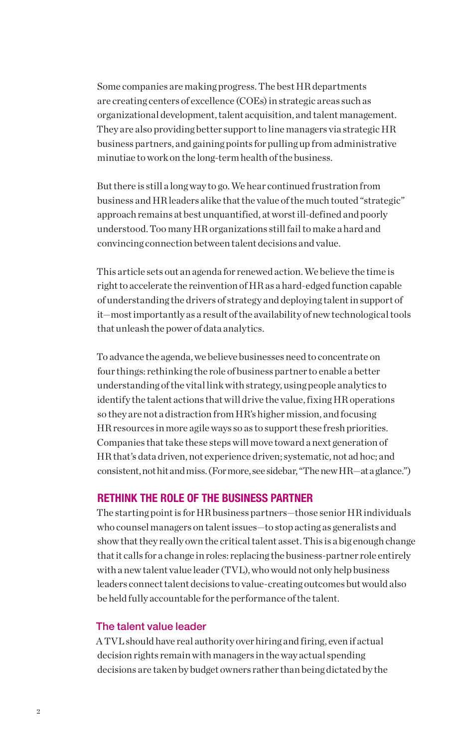Some companies are making progress. The best HR departments are creating centers of excellence (COEs) in strategic areas such as organizational development, talent acquisition, and talent management. They are also providing better support to line managers via strategic HR business partners, and gaining points for pulling up from administrative minutiae to work on the long-term health of the business.

But there is still a long way to go. We hear continued frustration from business and HR leaders alike that the value of the much touted "strategic" approach remains at best unquantified, at worst ill-defined and poorly understood. Too many HR organizations still fail to make a hard and convincing connection between talent decisions and value.

This article sets out an agenda for renewed action. We believe the time is right to accelerate the reinvention of HR as a hard-edged function capable of understanding the drivers of strategy and deploying talent in support of it—most importantly as a result of the availability of new technological tools that unleash the power of data analytics.

To advance the agenda, we believe businesses need to concentrate on four things: rethinking the role of business partner to enable a better understanding of the vital link with strategy, using people analytics to identify the talent actions that will drive the value, fixing HR operations so they are not a distraction from HR's higher mission, and focusing HR resources in more agile ways so as to support these fresh priorities. Companies that take these steps will move toward a next generation of HR that's data driven, not experience driven; systematic, not ad hoc; and consistent, not hit and miss. (For more, see sidebar, "The new HR—at a glance.")

#### RETHINK THE ROLE OF THE BUSINESS PARTNER

The starting point is for HR business partners—those senior HR individuals who counsel managers on talent issues—to stop acting as generalists and show that they really own the critical talent asset. This is a big enough change that it calls for a change in roles: replacing the business-partner role entirely with a new talent value leader (TVL), who would not only help business leaders connect talent decisions to value-creating outcomes but would also be held fully accountable for the performance of the talent.

#### The talent value leader

A TVL should have real authority over hiring and firing, even if actual decision rights remain with managers in the way actual spending decisions are taken by budget owners rather than being dictated by the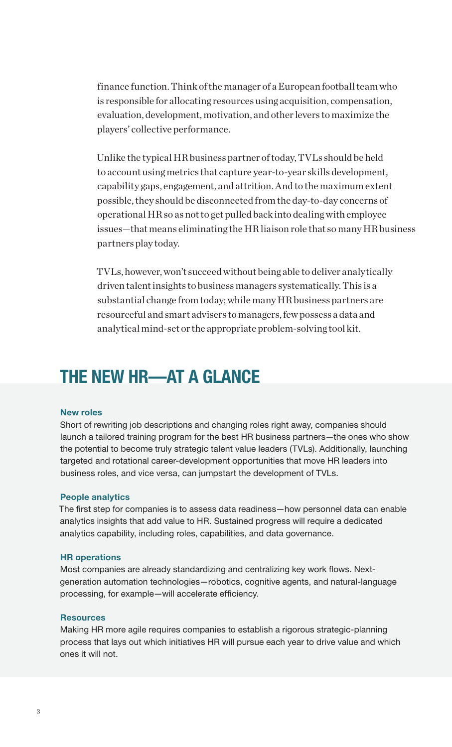finance function. Think of the manager of a European football team who is responsible for allocating resources using acquisition, compensation, evaluation, development, motivation, and other levers to maximize the players' collective performance.

Unlike the typical HR business partner of today, TVLs should be held to account using metrics that capture year-to-year skills development, capability gaps, engagement, and attrition. And to the maximum extent possible, they should be disconnected from the day-to-day concerns of operational HR so as not to get pulled back into dealing with employee issues—that means eliminating the HR liaison role that so many HR business partners play today.

TVLs, however, won't succeed without being able to deliver analytically driven talent insights to business managers systematically. This is a substantial change from today; while many HR business partners are resourceful and smart advisers to managers, few possess a data and analytical mind-set or the appropriate problem-solving tool kit.

### THE NEW HR—AT A GLANCE

#### New roles

Short of rewriting job descriptions and changing roles right away, companies should launch a tailored training program for the best HR business partners—the ones who show the potential to become truly strategic talent value leaders (TVLs). Additionally, launching targeted and rotational career-development opportunities that move HR leaders into business roles, and vice versa, can jumpstart the development of TVLs.

#### People analytics

The first step for companies is to assess data readiness—how personnel data can enable analytics insights that add value to HR. Sustained progress will require a dedicated analytics capability, including roles, capabilities, and data governance.

#### HR operations

Most companies are already standardizing and centralizing key work flows. Nextgeneration automation technologies—robotics, cognitive agents, and natural-language processing, for example—will accelerate efficiency.

#### **Resources**

Making HR more agile requires companies to establish a rigorous strategic-planning process that lays out which initiatives HR will pursue each year to drive value and which ones it will not.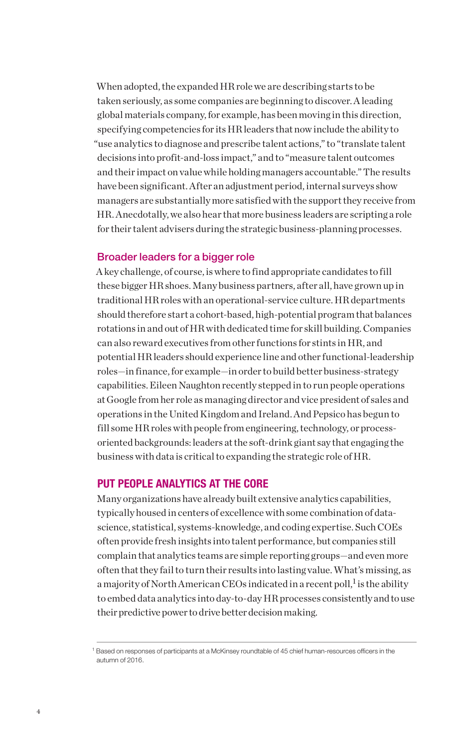When adopted, the expanded HR role we are describing starts to be taken seriously, as some companies are beginning to discover. A leading global materials company, for example, has been moving in this direction, specifying competencies for its HR leaders that now include the ability to "use analytics to diagnose and prescribe talent actions," to "translate talent decisions into profit-and-loss impact," and to "measure talent outcomes and their impact on value while holding managers accountable." The results have been significant. After an adjustment period, internal surveys show managers are substantially more satisfied with the support they receive from HR. Anecdotally, we also hear that more business leaders are scripting a role for their talent advisers during the strategic business-planning processes.

#### Broader leaders for a bigger role

A key challenge, of course, is where to find appropriate candidates to fill these bigger HR shoes. Many business partners, after all, have grown up in traditional HR roles with an operational-service culture. HR departments should therefore start a cohort-based, high-potential program that balances rotations in and out of HR with dedicated time for skill building. Companies can also reward executives from other functions for stints in HR, and potential HR leaders should experience line and other functional-leadership roles—in finance, for example—in order to build better business-strategy capabilities. Eileen Naughton recently stepped in to run people operations at Google from her role as managing director and vice president of sales and operations in the United Kingdom and Ireland. And Pepsico has begun to fill some HR roles with people from engineering, technology, or processoriented backgrounds: leaders at the soft-drink giant say that engaging the business with data is critical to expanding the strategic role of HR.

#### PUT PEOPLE ANALYTICS AT THE CORE

Many organizations have already built extensive analytics capabilities, typically housed in centers of excellence with some combination of datascience, statistical, systems-knowledge, and coding expertise. Such COEs often provide fresh insights into talent performance, but companies still complain that analytics teams are simple reporting groups—and even more often that they fail to turn their results into lasting value. What's missing, as a majority of North American CEOs indicated in a recent poll, $^{\rm l}$  is the ability to embed data analytics into day-to-day HR processes consistently and to use their predictive power to drive better decision making.

<sup>&</sup>lt;sup>1</sup> Based on responses of participants at a McKinsey roundtable of 45 chief human-resources officers in the autumn of 2016.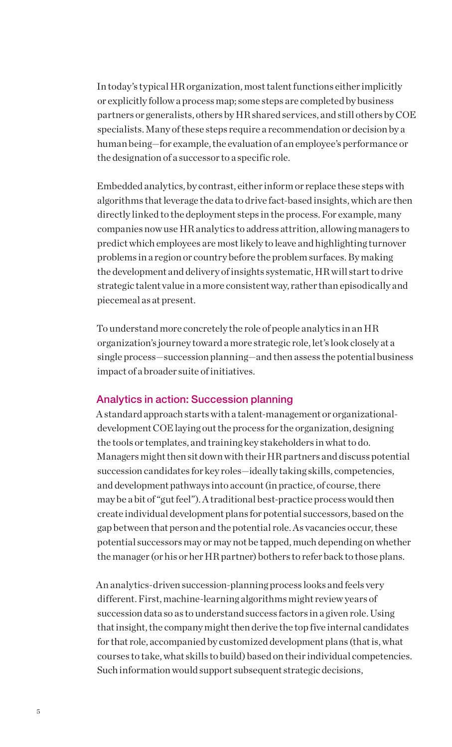In today's typical HR organization, most talent functions either implicitly or explicitly follow a process map; some steps are completed by business partners or generalists, others by HR shared services, and still others by COE specialists. Many of these steps require a recommendation or decision by a human being—for example, the evaluation of an employee's performance or the designation of a successor to a specific role.

Embedded analytics, by contrast, either inform or replace these steps with algorithms that leverage the data to drive fact-based insights, which are then directly linked to the deployment steps in the process. For example, many companies now use HR analytics to address attrition, allowing managers to predict which employees are most likely to leave and highlighting turnover problems in a region or country before the problem surfaces. By making the development and delivery of insights systematic, HR will start to drive strategic talent value in a more consistent way, rather than episodically and piecemeal as at present.

To understand more concretely the role of people analytics in an HR organization's journey toward a more strategic role, let's look closely at a single process—succession planning—and then assess the potential business impact of a broader suite of initiatives.

#### Analytics in action: Succession planning

A standard approach starts with a talent-management or organizationaldevelopment COE laying out the process for the organization, designing the tools or templates, and training key stakeholders in what to do. Managers might then sit down with their HR partners and discuss potential succession candidates for key roles—ideally taking skills, competencies, and development pathways into account (in practice, of course, there may be a bit of "gut feel"). A traditional best-practice process would then create individual development plans for potential successors, based on the gap between that person and the potential role. As vacancies occur, these potential successors may or may not be tapped, much depending on whether the manager (or his or her HR partner) bothers to refer back to those plans.

An analytics-driven succession-planning process looks and feels very different. First, machine-learning algorithms might review years of succession data so as to understand success factors in a given role. Using that insight, the company might then derive the top five internal candidates for that role, accompanied by customized development plans (that is, what courses to take, what skills to build) based on their individual competencies. Such information would support subsequent strategic decisions,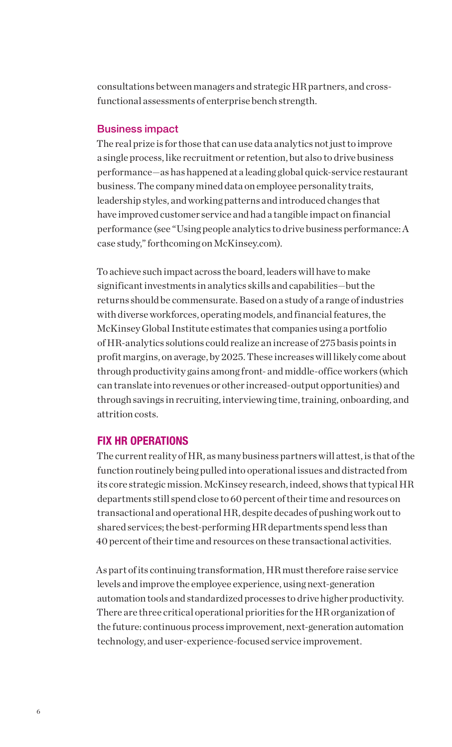consultations between managers and strategic HR partners, and crossfunctional assessments of enterprise bench strength.

#### Business impact

The real prize is for those that can use data analytics not just to improve a single process, like recruitment or retention, but also to drive business performance—as has happened at a leading global quick-service restaurant business. The company mined data on employee personality traits, leadership styles, and working patterns and introduced changes that have improved customer service and had a tangible impact on financial performance (see "Using people analytics to drive business performance: A case study," forthcoming on McKinsey.com).

To achieve such impact across the board, leaders will have to make significant investments in analytics skills and capabilities—but the returns should be commensurate. Based on a study of a range of industries with diverse workforces, operating models, and financial features, the McKinsey Global Institute estimates that companies using a portfolio of HR-analytics solutions could realize an increase of 275 basis points in profit margins, on average, by 2025. These increases will likely come about through productivity gains among front- and middle-office workers (which can translate into revenues or other increased-output opportunities) and through savings in recruiting, interviewing time, training, onboarding, and attrition costs.

#### FIX HR OPERATIONS

The current reality of HR, as many business partners will attest, is that of the function routinely being pulled into operational issues and distracted from its core strategic mission. McKinsey research, indeed, shows that typical HR departments still spend close to 60 percent of their time and resources on transactional and operational HR, despite decades of pushing work out to shared services; the best-performing HR departments spend less than 40 percent of their time and resources on these transactional activities.

As part of its continuing transformation, HR must therefore raise service levels and improve the employee experience, using next-generation automation tools and standardized processes to drive higher productivity. There are three critical operational priorities for the HR organization of the future: continuous process improvement, next-generation automation technology, and user-experience-focused service improvement.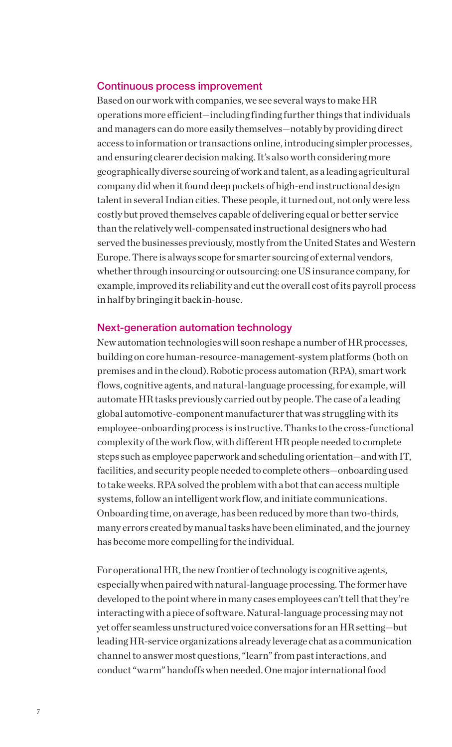#### Continuous process improvement

Based on our work with companies, we see several ways to make HR operations more efficient—including finding further things that individuals and managers can do more easily themselves—notably by providing direct access to information or transactions online, introducing simpler processes, and ensuring clearer decision making. It's also worth considering more geographically diverse sourcing of work and talent, as a leading agricultural company did when it found deep pockets of high-end instructional design talent in several Indian cities. These people, it turned out, not only were less costly but proved themselves capable of delivering equal or better service than the relatively well-compensated instructional designers who had served the businesses previously, mostly from the United States and Western Europe. There is always scope for smarter sourcing of external vendors, whether through insourcing or outsourcing: one US insurance company, for example, improved its reliability and cut the overall cost of its payroll process in half by bringing it back in-house.

#### Next-generation automation technology

New automation technologies will soon reshape a number of HR processes, building on core human-resource-management-system platforms (both on premises and in the cloud). Robotic process automation (RPA), smart work flows, cognitive agents, and natural-language processing, for example, will automate HR tasks previously carried out by people. The case of a leading global automotive-component manufacturer that was struggling with its employee-onboarding process is instructive. Thanks to the cross-functional complexity of the work flow, with different HR people needed to complete steps such as employee paperwork and scheduling orientation—and with IT, facilities, and security people needed to complete others—onboarding used to take weeks. RPA solved the problem with a bot that can access multiple systems, follow an intelligent work flow, and initiate communications. Onboarding time, on average, has been reduced by more than two-thirds, many errors created by manual tasks have been eliminated, and the journey has become more compelling for the individual.

For operational HR, the new frontier of technology is cognitive agents, especially when paired with natural-language processing. The former have developed to the point where in many cases employees can't tell that they're interacting with a piece of software. Natural-language processing may not yet offer seamless unstructured voice conversations for an HR setting—but leading HR-service organizations already leverage chat as a communication channel to answer most questions, "learn" from past interactions, and conduct "warm" handoffs when needed. One major international food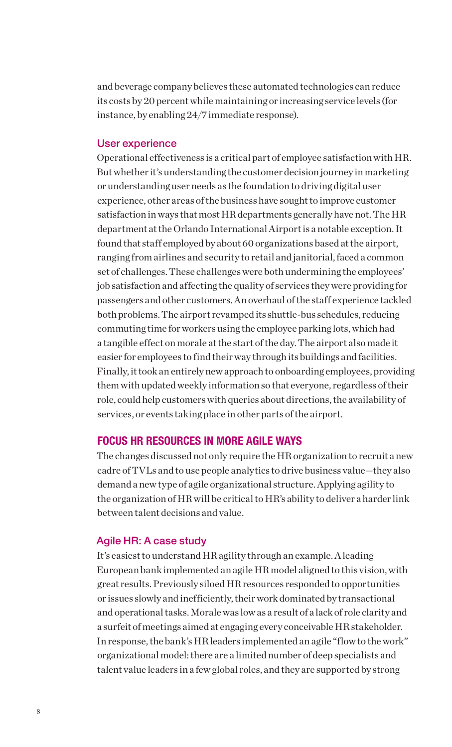and beverage company believes these automated technologies can reduce its costs by 20 percent while maintaining or increasing service levels (for instance, by enabling 24/7 immediate response).

#### User experience

Operational effectiveness is a critical part of employee satisfaction with HR. But whether it's understanding the customer decision journey in marketing or understanding user needs as the foundation to driving digital user experience, other areas of the business have sought to improve customer satisfaction in ways that most HR departments generally have not. The HR department at the Orlando International Airport is a notable exception. It found that staff employed by about 60 organizations based at the airport, ranging from airlines and security to retail and janitorial, faced a common set of challenges. These challenges were both undermining the employees' job satisfaction and affecting the quality of services they were providing for passengers and other customers. An overhaul of the staff experience tackled both problems. The airport revamped its shuttle-bus schedules, reducing commuting time for workers using the employee parking lots, which had a tangible effect on morale at the start of the day. The airport also made it easier for employees to find their way through its buildings and facilities. Finally, it took an entirely new approach to onboarding employees, providing them with updated weekly information so that everyone, regardless of their role, could help customers with queries about directions, the availability of services, or events taking place in other parts of the airport.

#### FOCUS HR RESOURCES IN MORE AGILE WAYS

The changes discussed not only require the HR organization to recruit a new cadre of TVLs and to use people analytics to drive business value—they also demand a new type of agile organizational structure. Applying agility to the organization of HR will be critical to HR's ability to deliver a harder link between talent decisions and value.

#### Agile HR: A case study

It's easiest to understand HR agility through an example. A leading European bank implemented an agile HR model aligned to this vision, with great results. Previously siloed HR resources responded to opportunities or issues slowly and inefficiently, their work dominated by transactional and operational tasks. Morale was low as a result of a lack of role clarity and a surfeit of meetings aimed at engaging every conceivable HR stakeholder. In response, the bank's HR leaders implemented an agile "flow to the work" organizational model: there are a limited number of deep specialists and talent value leaders in a few global roles, and they are supported by strong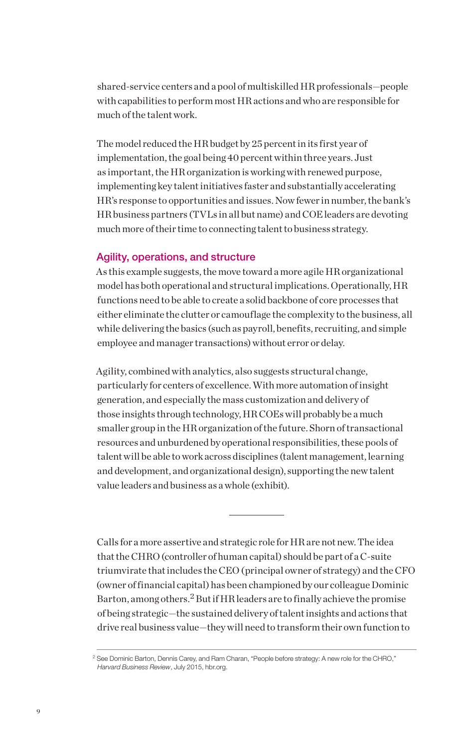shared-service centers and a pool of multiskilled HR professionals—people with capabilities to perform most HR actions and who are responsible for much of the talent work.

The model reduced the HR budget by 25 percent in its first year of implementation, the goal being 40 percent within three years. Just as important, the HR organization is working with renewed purpose, implementing key talent initiatives faster and substantially accelerating HR's response to opportunities and issues. Now fewer in number, the bank's HR business partners (TVLs in all but name) and COE leaders are devoting much more of their time to connecting talent to business strategy.

#### Agility, operations, and structure

As this example suggests, the move toward a more agile HR organizational model has both operational and structural implications. Operationally, HR functions need to be able to create a solid backbone of core processes that either eliminate the clutter or camouflage the complexity to the business, all while delivering the basics (such as payroll, benefits, recruiting, and simple employee and manager transactions) without error or delay.

Agility, combined with analytics, also suggests structural change, particularly for centers of excellence. With more automation of insight generation, and especially the mass customization and delivery of those insights through technology, HR COEs will probably be a much smaller group in the HR organization of the future. Shorn of transactional resources and unburdened by operational responsibilities, these pools of talent will be able to work across disciplines (talent management, learning and development, and organizational design), supporting the new talent value leaders and business as a whole (exhibit).

Calls for a more assertive and strategic role for HR are not new. The idea that the CHRO (controller of human capital) should be part of a C-suite triumvirate that includes the CEO (principal owner of strategy) and the CFO (owner of financial capital) has been championed by our colleague Dominic Barton, among others.<sup>2</sup> But if HR leaders are to finally achieve the promise of being strategic—the sustained delivery of talent insights and actions that drive real business value—they will need to transform their own function to

<sup>2</sup> See Dominic Barton, Dennis Carey, and Ram Charan, "People before strategy: A new role for the CHRO," *Harvard Business Review*, July 2015, hbr.org.